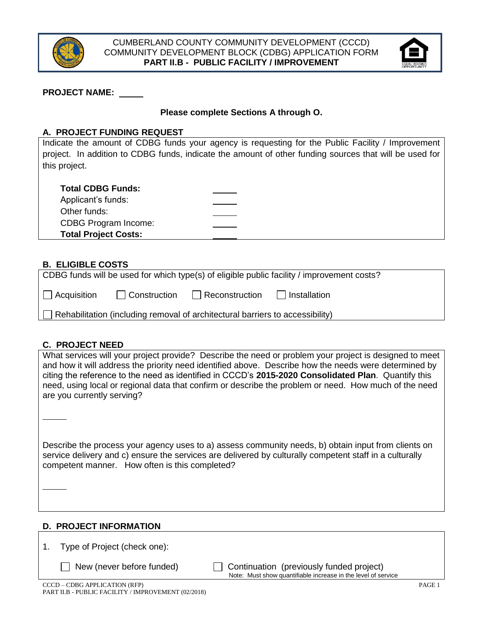



## **PROJECT NAME:**

## **Please complete Sections A through O.**

#### **A. PROJECT FUNDING REQUEST**

Indicate the amount of CDBG funds your agency is requesting for the Public Facility / Improvement project. In addition to CDBG funds, indicate the amount of other funding sources that will be used for this project.

| <b>Total CDBG Funds:</b> |  |  |
|--------------------------|--|--|
|--------------------------|--|--|

| Applicant's funds:          |  |
|-----------------------------|--|
| Other funds:                |  |
| CDBG Program Income:        |  |
| <b>Total Project Costs:</b> |  |
|                             |  |

## **B. ELIGIBLE COSTS**

| CDBG funds will be used for which type(s) of eligible public facility / improvement costs? |              |                               |  |  |  |
|--------------------------------------------------------------------------------------------|--------------|-------------------------------|--|--|--|
| $\Box$ Acquisition                                                                         | Construction | Reconstruction   Installation |  |  |  |
| Rehabilitation (including removal of architectural barriers to accessibility)<br>$\perp$   |              |                               |  |  |  |

## **C. PROJECT NEED**

What services will your project provide? Describe the need or problem your project is designed to meet and how it will address the priority need identified above. Describe how the needs were determined by citing the reference to the need as identified in CCCD's **2015-2020 Consolidated Plan**. Quantify this need, using local or regional data that confirm or describe the problem or need. How much of the need are you currently serving?

Describe the process your agency uses to a) assess community needs, b) obtain input from clients on service delivery and c) ensure the services are delivered by culturally competent staff in a culturally competent manner. How often is this completed?

#### **D. PROJECT INFORMATION**

1. Type of Project (check one):

**New (never before funded) Continuation (previously funded project)** Note: Must show quantifiable increase in the level of service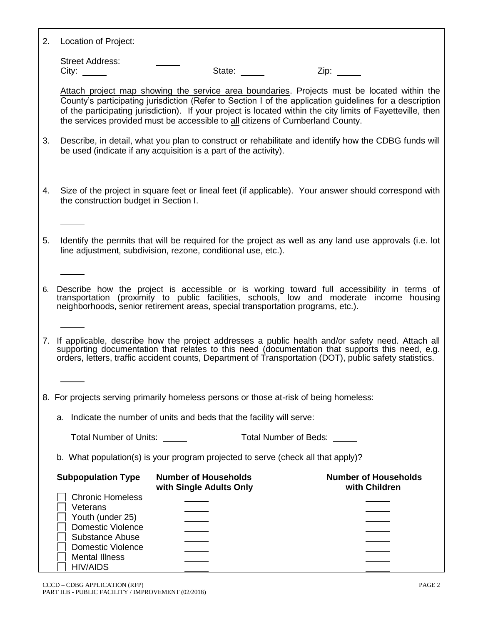| 2. | Location of Project: |  |  |
|----|----------------------|--|--|
|----|----------------------|--|--|

Street Address: City: State: Zip:

Attach project map showing the service area boundaries. Projects must be located within the County's participating jurisdiction (Refer to Section I of the application guidelines for a description of the participating jurisdiction). If your project is located within the city limits of Fayetteville, then the services provided must be accessible to all citizens of Cumberland County.

- 3. Describe, in detail, what you plan to construct or rehabilitate and identify how the CDBG funds will be used (indicate if any acquisition is a part of the activity).
- 4. Size of the project in square feet or lineal feet (if applicable). Your answer should correspond with the construction budget in Section I.
- 5. Identify the permits that will be required for the project as well as any land use approvals (i.e. lot line adjustment, subdivision, rezone, conditional use, etc.).

6. Describe how the project is accessible or is working toward full accessibility in terms of transportation (proximity to public facilities, schools, low and moderate income housing neighborhoods, senior retirement areas, special transportation programs, etc.).

7. If applicable, describe how the project addresses a public health and/or safety need. Attach all supporting documentation that relates to this need (documentation that supports this need, e.g. orders, letters, traffic accident counts, Department of Transportation (DOT), public safety statistics.

- 8. For projects serving primarily homeless persons or those at-risk of being homeless:
	- a. Indicate the number of units and beds that the facility will serve:

Total Number of Units: Total Number of Beds:

b. What population(s) is your program projected to serve (check all that apply)?

| <b>Subpopulation Type</b>                   | <b>Number of Households</b><br>with Single Adults Only | <b>Number of Households</b><br>with Children |
|---------------------------------------------|--------------------------------------------------------|----------------------------------------------|
| <b>Chronic Homeless</b>                     |                                                        |                                              |
| Veterans                                    |                                                        |                                              |
| Youth (under 25)                            |                                                        |                                              |
| <b>Domestic Violence</b><br>Substance Abuse |                                                        |                                              |
| <b>Domestic Violence</b>                    |                                                        |                                              |
| <b>Mental Illness</b>                       |                                                        |                                              |
| <b>HIV/AIDS</b>                             |                                                        |                                              |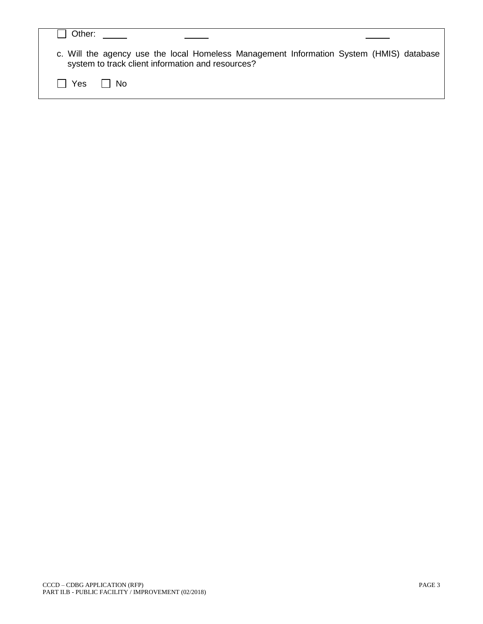| Other:        |                                                                                                                                              |  |
|---------------|----------------------------------------------------------------------------------------------------------------------------------------------|--|
|               | c. Will the agency use the local Homeless Management Information System (HMIS) database<br>system to track client information and resources? |  |
| l I Yes II No |                                                                                                                                              |  |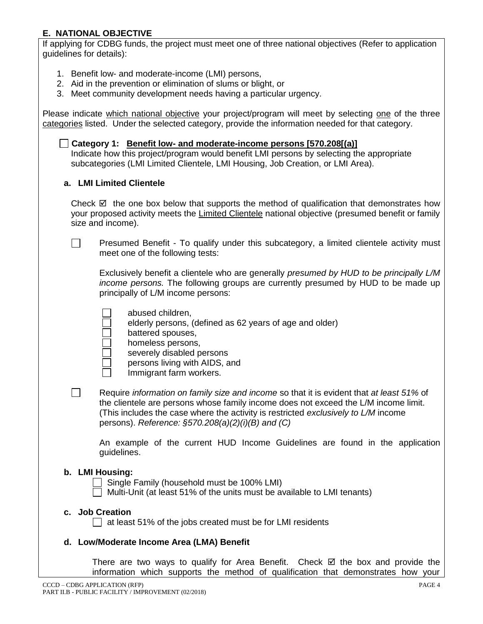## **E. NATIONAL OBJECTIVE**

If applying for CDBG funds, the project must meet one of three national objectives (Refer to application guidelines for details):

- 1. Benefit low- and moderate-income (LMI) persons,
- 2. Aid in the prevention or elimination of slums or blight, or
- 3. Meet community development needs having a particular urgency.

Please indicate which national objective your project/program will meet by selecting one of the three categories listed. Under the selected category, provide the information needed for that category.

**Category 1: Benefit low- and moderate-income persons [570.208[(a)]** Indicate how this project/program would benefit LMI persons by selecting the appropriate subcategories (LMI Limited Clientele, LMI Housing, Job Creation, or LMI Area).

## **a. LMI Limited Clientele**

 $\mathbb{R}^n$ 

 $\Box$ 

Check  $\boxtimes$  the one box below that supports the method of qualification that demonstrates how your proposed activity meets the Limited Clientele national objective (presumed benefit or family size and income).

Presumed Benefit - To qualify under this subcategory, a limited clientele activity must meet one of the following tests:

Exclusively benefit a clientele who are generally *presumed by HUD to be principally L/M income persons.* The following groups are currently presumed by HUD to be made up principally of L/M income persons:

abused children,

- elderly persons, (defined as 62 years of age and older)
- battered spouses,
- homeless persons,
- severely disabled persons
- persons living with AIDS, and
- Immigrant farm workers.
- Require *information on family size and income* so that it is evident that *at least 51%* of the clientele are persons whose family income does not exceed the L/M income limit. (This includes the case where the activity is restricted *exclusively to L/M* income persons). *Reference: §570.208(a)(2)(i)(B) and (C)*

An example of the current HUD Income Guidelines are found in the application guidelines.

## **b. LMI Housing:**

- Single Family (household must be 100% LMI)
- $\Box$  Multi-Unit (at least 51% of the units must be available to LMI tenants)

#### **c. Job Creation**

 $\Box$  at least 51% of the jobs created must be for LMI residents

## **d. Low/Moderate Income Area (LMA) Benefit**

There are two ways to qualify for Area Benefit. Check  $\boxtimes$  the box and provide the information which supports the method of qualification that demonstrates how your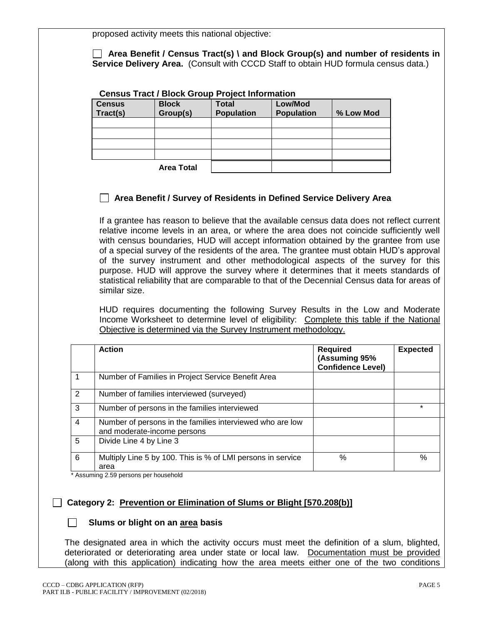proposed activity meets this national objective:

 **Area Benefit / Census Tract(s) \ and Block Group(s) and number of residents in Service Delivery Area.** (Consult with CCCD Staff to obtain HUD formula census data.)

## **Census Tract / Block Group Project Information**

| <b>Census</b><br>Tract(s) | <b>Block</b><br>Group(s) | <b>Total</b><br><b>Population</b> | Low/Mod<br><b>Population</b> | % Low Mod |
|---------------------------|--------------------------|-----------------------------------|------------------------------|-----------|
|                           |                          |                                   |                              |           |
|                           |                          |                                   |                              |           |
|                           |                          |                                   |                              |           |
|                           |                          |                                   |                              |           |
|                           | <b>Area Total</b>        |                                   |                              |           |

## **Area Benefit / Survey of Residents in Defined Service Delivery Area**

If a grantee has reason to believe that the available census data does not reflect current relative income levels in an area, or where the area does not coincide sufficiently well with census boundaries, HUD will accept information obtained by the grantee from use of a special survey of the residents of the area. The grantee must obtain HUD's approval of the survey instrument and other methodological aspects of the survey for this purpose. HUD will approve the survey where it determines that it meets standards of statistical reliability that are comparable to that of the Decennial Census data for areas of similar size.

HUD requires documenting the following Survey Results in the Low and Moderate Income Worksheet to determine level of eligibility: Complete this table if the National Objective is determined via the Survey Instrument methodology.

|   | <b>Action</b>                                                                            | <b>Required</b><br>(Assuming 95%<br><b>Confidence Level)</b> | <b>Expected</b> |
|---|------------------------------------------------------------------------------------------|--------------------------------------------------------------|-----------------|
|   | Number of Families in Project Service Benefit Area                                       |                                                              |                 |
| 2 | Number of families interviewed (surveyed)                                                |                                                              |                 |
| 3 | Number of persons in the families interviewed                                            |                                                              | $\ast$          |
| 4 | Number of persons in the families interviewed who are low<br>and moderate-income persons |                                                              |                 |
| 5 | Divide Line 4 by Line 3                                                                  |                                                              |                 |
| 6 | Multiply Line 5 by 100. This is % of LMI persons in service<br>area                      | %                                                            | $\%$            |

\* Assuming 2.59 persons per household

## **Category 2: Prevention or Elimination of Slums or Blight [570.208(b)]**

## **Slums or blight on an area basis**

The designated area in which the activity occurs must meet the definition of a slum, blighted, deteriorated or deteriorating area under state or local law. Documentation must be provided (along with this application) indicating how the area meets either one of the two conditions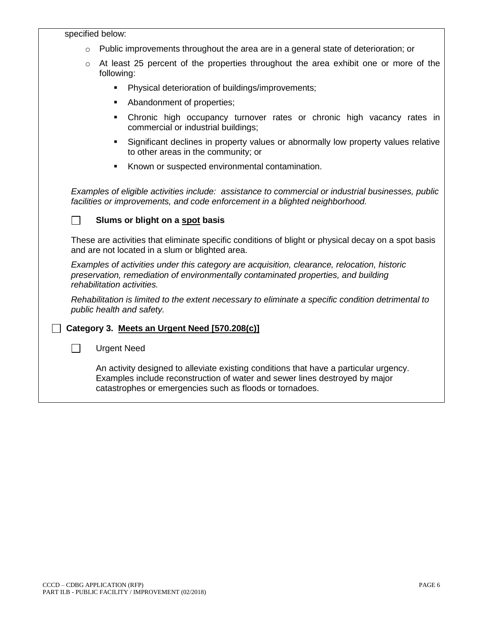#### specified below:

- $\circ$  Public improvements throughout the area are in a general state of deterioration; or
- $\circ$  At least 25 percent of the properties throughout the area exhibit one or more of the following:
	- **•** Physical deterioration of buildings/improvements;
	- Abandonment of properties;
	- **•** Chronic high occupancy turnover rates or chronic high vacancy rates in commercial or industrial buildings;
	- Significant declines in property values or abnormally low property values relative to other areas in the community; or
	- Known or suspected environmental contamination.

*Examples of eligible activities include: assistance to commercial or industrial businesses, public facilities or improvements, and code enforcement in a blighted neighborhood.* 

#### **Slums or blight on a spot basis**

These are activities that eliminate specific conditions of blight or physical decay on a spot basis and are not located in a slum or blighted area.

*Examples of activities under this category are acquisition, clearance, relocation, historic preservation, remediation of environmentally contaminated properties, and building rehabilitation activities.* 

*Rehabilitation is limited to the extent necessary to eliminate a specific condition detrimental to public health and safety.*

## **Category 3. Meets an Urgent Need [570.208(c)]**

□ Urgent Need

An activity designed to alleviate existing conditions that have a particular urgency. Examples include reconstruction of water and sewer lines destroyed by major catastrophes or emergencies such as floods or tornadoes.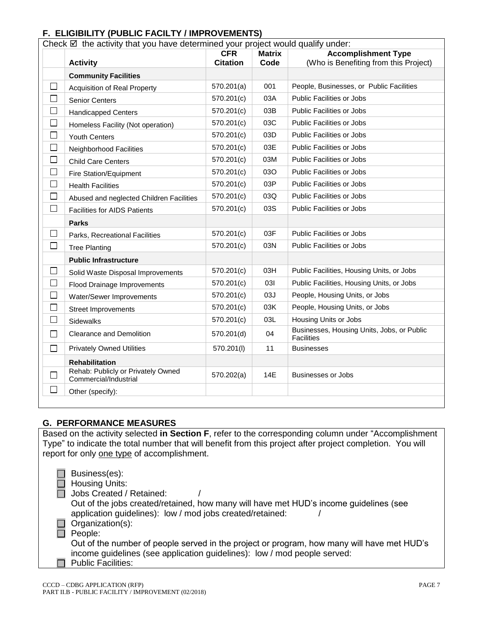## **F. ELIGIBILITY (PUBLIC FACILTY / IMPROVEMENTS)**

| Check $\boxtimes$ the activity that you have determined your project would qualify under: |                                                             |                                                           |      |                                                                 |
|-------------------------------------------------------------------------------------------|-------------------------------------------------------------|-----------------------------------------------------------|------|-----------------------------------------------------------------|
|                                                                                           |                                                             | <b>Accomplishment Type</b><br><b>Matrix</b><br><b>CFR</b> |      |                                                                 |
|                                                                                           | <b>Activity</b>                                             | <b>Citation</b>                                           | Code | (Who is Benefiting from this Project)                           |
|                                                                                           | <b>Community Facilities</b>                                 |                                                           |      |                                                                 |
| □                                                                                         | <b>Acquisition of Real Property</b>                         | 570.201(a)                                                | 001  | People, Businesses, or Public Facilities                        |
| $\Box$                                                                                    | Senior Centers                                              | 570.201(c)                                                | 03A  | <b>Public Facilities or Jobs</b>                                |
| $\Box$                                                                                    | <b>Handicapped Centers</b>                                  | 570.201(c)                                                | 03B  | <b>Public Facilities or Jobs</b>                                |
| $\Box$                                                                                    | Homeless Facility (Not operation)                           | 570.201(c)                                                | 03C  | Public Facilities or Jobs                                       |
| $\Box$                                                                                    | <b>Youth Centers</b>                                        | 570.201(c)                                                | 03D  | <b>Public Facilities or Jobs</b>                                |
| □                                                                                         | Neighborhood Facilities                                     | 570.201(c)                                                | 03E  | Public Facilities or Jobs                                       |
| $\Box$                                                                                    | <b>Child Care Centers</b>                                   | 570.201(c)                                                | 03M  | Public Facilities or Jobs                                       |
| $\Box$                                                                                    | Fire Station/Equipment                                      | 570.201(c)                                                | 03O  | Public Facilities or Jobs                                       |
| □                                                                                         | <b>Health Facilities</b>                                    | 570.201(c)                                                | 03P  | <b>Public Facilities or Jobs</b>                                |
| □                                                                                         | Abused and neglected Children Facilities                    | 570.201(c)                                                | 03Q  | <b>Public Facilities or Jobs</b>                                |
| П                                                                                         | <b>Facilities for AIDS Patients</b>                         | 570.201(c)                                                | 03S  | <b>Public Facilities or Jobs</b>                                |
|                                                                                           | <b>Parks</b>                                                |                                                           |      |                                                                 |
| ⊔                                                                                         | Parks, Recreational Facilities                              | 570.201(c)                                                | 03F  | <b>Public Facilities or Jobs</b>                                |
| $\Box$                                                                                    | <b>Tree Planting</b>                                        | 570.201(c)                                                | 03N  | <b>Public Facilities or Jobs</b>                                |
|                                                                                           | <b>Public Infrastructure</b>                                |                                                           |      |                                                                 |
| $\Box$                                                                                    | Solid Waste Disposal Improvements                           | 570.201(c)                                                | 03H  | Public Facilities, Housing Units, or Jobs                       |
| □                                                                                         | Flood Drainage Improvements                                 | 570.201(c)                                                | 031  | Public Facilities, Housing Units, or Jobs                       |
| $\Box$                                                                                    | Water/Sewer Improvements                                    | 570.201(c)                                                | 03J  | People, Housing Units, or Jobs                                  |
| $\Box$                                                                                    | <b>Street Improvements</b>                                  | 570.201(c)                                                | 03K  | People, Housing Units, or Jobs                                  |
| П                                                                                         | Sidewalks                                                   | 570.201(c)                                                | 03L  | Housing Units or Jobs                                           |
| $\Box$                                                                                    | <b>Clearance and Demolition</b>                             | 570.201(d)                                                | 04   | Businesses, Housing Units, Jobs, or Public<br><b>Facilities</b> |
| П                                                                                         | <b>Privately Owned Utilities</b>                            | 570.201(l)                                                | 11   | <b>Businesses</b>                                               |
|                                                                                           | <b>Rehabilitation</b>                                       |                                                           |      |                                                                 |
|                                                                                           | Rehab: Publicly or Privately Owned<br>Commercial/Industrial | 570.202(a)                                                | 14E  | <b>Businesses or Jobs</b>                                       |
| $\mathsf{L}$                                                                              | Other (specify):                                            |                                                           |      |                                                                 |

## **G. PERFORMANCE MEASURES**

Based on the activity selected **in Section F**, refer to the corresponding column under "Accomplishment Type" to indicate the total number that will benefit from this project after project completion. You will report for only one type of accomplishment.

|    | Business(es):        |
|----|----------------------|
| U. | <b>Housing Units</b> |

busing Units:

Jobs Created / Retained:

Out of the jobs created/retained, how many will have met HUD's income guidelines (see application guidelines): low / mod jobs created/retained: /

Organization(s):

People:

Out of the number of people served in the project or program, how many will have met HUD's income guidelines (see application guidelines): low / mod people served:

Public Facilities:  $\Box$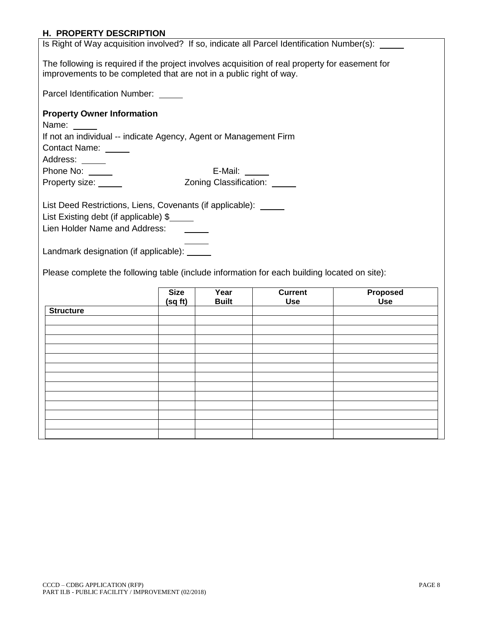## **H. PROPERTY DESCRIPTION**

| The following is required if the project involves acquisition of real property for easement for |  |  |  |  |  |  |
|-------------------------------------------------------------------------------------------------|--|--|--|--|--|--|
| improvements to be completed that are not in a public right of way.                             |  |  |  |  |  |  |
|                                                                                                 |  |  |  |  |  |  |
|                                                                                                 |  |  |  |  |  |  |
|                                                                                                 |  |  |  |  |  |  |
|                                                                                                 |  |  |  |  |  |  |
|                                                                                                 |  |  |  |  |  |  |
|                                                                                                 |  |  |  |  |  |  |
|                                                                                                 |  |  |  |  |  |  |
|                                                                                                 |  |  |  |  |  |  |
|                                                                                                 |  |  |  |  |  |  |
|                                                                                                 |  |  |  |  |  |  |
|                                                                                                 |  |  |  |  |  |  |
|                                                                                                 |  |  |  |  |  |  |
|                                                                                                 |  |  |  |  |  |  |
|                                                                                                 |  |  |  |  |  |  |
|                                                                                                 |  |  |  |  |  |  |
|                                                                                                 |  |  |  |  |  |  |
|                                                                                                 |  |  |  |  |  |  |
|                                                                                                 |  |  |  |  |  |  |
|                                                                                                 |  |  |  |  |  |  |
|                                                                                                 |  |  |  |  |  |  |
|                                                                                                 |  |  |  |  |  |  |
|                                                                                                 |  |  |  |  |  |  |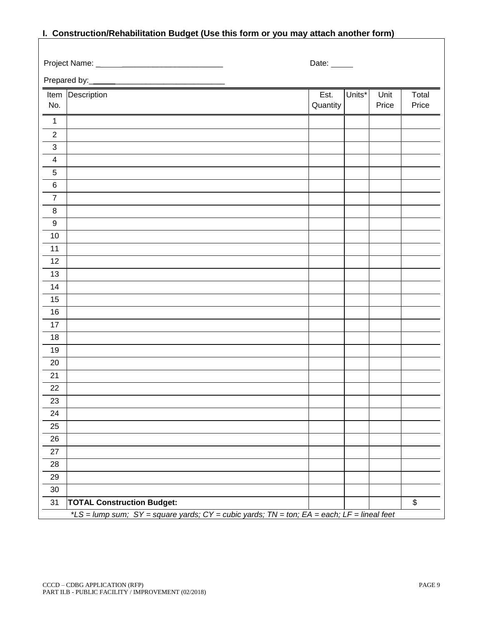# **I. Construction/Rehabilitation Budget (Use this form or you may attach another form)**

|                          | Project Name: ______________________                                                       | Date:    |        |       |       |
|--------------------------|--------------------------------------------------------------------------------------------|----------|--------|-------|-------|
|                          | Prepared by:                                                                               |          |        |       |       |
|                          | Item Description                                                                           | Est.     | Units* | Unit  | Total |
| No.                      |                                                                                            | Quantity |        | Price | Price |
| $\mathbf{1}$             |                                                                                            |          |        |       |       |
| $\boldsymbol{2}$         |                                                                                            |          |        |       |       |
| $\sqrt{3}$               |                                                                                            |          |        |       |       |
| $\overline{\mathcal{A}}$ |                                                                                            |          |        |       |       |
| 5                        |                                                                                            |          |        |       |       |
| $\,6$                    |                                                                                            |          |        |       |       |
| $\overline{7}$           |                                                                                            |          |        |       |       |
| 8                        |                                                                                            |          |        |       |       |
| $\boldsymbol{9}$         |                                                                                            |          |        |       |       |
| 10                       |                                                                                            |          |        |       |       |
| 11                       |                                                                                            |          |        |       |       |
| 12                       |                                                                                            |          |        |       |       |
| 13                       |                                                                                            |          |        |       |       |
| 14                       |                                                                                            |          |        |       |       |
| 15                       |                                                                                            |          |        |       |       |
| 16                       |                                                                                            |          |        |       |       |
| 17                       |                                                                                            |          |        |       |       |
| 18                       |                                                                                            |          |        |       |       |
| 19                       |                                                                                            |          |        |       |       |
| 20                       |                                                                                            |          |        |       |       |
| 21                       |                                                                                            |          |        |       |       |
| 22                       |                                                                                            |          |        |       |       |
| 23                       |                                                                                            |          |        |       |       |
| 24                       |                                                                                            |          |        |       |       |
| 25                       |                                                                                            |          |        |       |       |
| 26                       |                                                                                            |          |        |       |       |
| 27                       |                                                                                            |          |        |       |       |
| 28                       |                                                                                            |          |        |       |       |
| 29                       |                                                                                            |          |        |       |       |
| $30\,$                   |                                                                                            |          |        |       |       |
| 31                       | <b>TOTAL Construction Budget:</b>                                                          |          |        |       | \$    |
|                          | *LS = lump sum; SY = square yards; CY = cubic yards; TN = ton; EA = each; LF = lineal feet |          |        |       |       |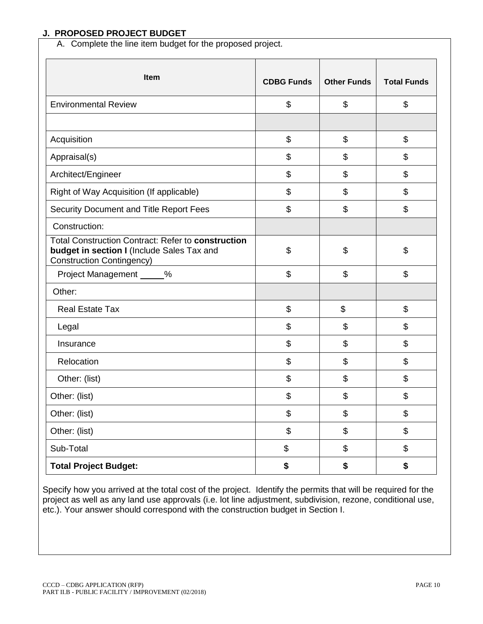## **J. PROPOSED PROJECT BUDGET**

A. Complete the line item budget for the proposed project.

| Item                                                                                                                                 | <b>CDBG Funds</b> | <b>Other Funds</b>                        | <b>Total Funds</b> |
|--------------------------------------------------------------------------------------------------------------------------------------|-------------------|-------------------------------------------|--------------------|
| <b>Environmental Review</b>                                                                                                          | \$                | \$                                        | \$                 |
|                                                                                                                                      |                   |                                           |                    |
| Acquisition                                                                                                                          | \$                | $\boldsymbol{\theta}$                     | \$                 |
| Appraisal(s)                                                                                                                         | \$                | \$                                        | \$                 |
| Architect/Engineer                                                                                                                   | \$                | \$                                        | \$                 |
| Right of Way Acquisition (If applicable)                                                                                             | \$                | \$                                        | \$                 |
| Security Document and Title Report Fees                                                                                              | \$                | \$                                        | \$                 |
| Construction:                                                                                                                        |                   |                                           |                    |
| Total Construction Contract: Refer to construction<br>budget in section I (Include Sales Tax and<br><b>Construction Contingency)</b> | \$                | \$                                        | \$                 |
| Project Management _____%                                                                                                            | \$                | \$                                        | \$                 |
| Other:                                                                                                                               |                   |                                           |                    |
| <b>Real Estate Tax</b>                                                                                                               | \$                | \$                                        | \$                 |
| Legal                                                                                                                                | \$                | \$                                        | \$                 |
| Insurance                                                                                                                            | \$                | \$                                        | \$                 |
| Relocation                                                                                                                           | \$                | $\boldsymbol{\mathsf{S}}$                 | \$                 |
| Other: (list)                                                                                                                        | \$                | \$                                        | \$                 |
| Other: (list)                                                                                                                        | \$                | \$                                        | \$                 |
| Other: (list)                                                                                                                        | \$                | $\, \, \raisebox{12pt}{$\scriptstyle \$}$ | \$                 |
| Other: (list)                                                                                                                        | \$                | $\, \, \raisebox{12pt}{$\scriptstyle \$}$ | \$                 |
| Sub-Total                                                                                                                            | \$                | \$                                        | \$                 |
| <b>Total Project Budget:</b>                                                                                                         | \$                | \$                                        | \$                 |

Specify how you arrived at the total cost of the project. Identify the permits that will be required for the project as well as any land use approvals (i.e. lot line adjustment, subdivision, rezone, conditional use, etc.). Your answer should correspond with the construction budget in Section I.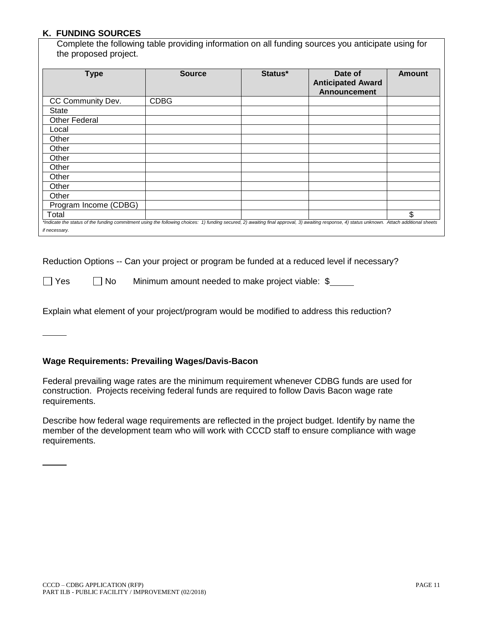### **K. FUNDING SOURCES**

Complete the following table providing information on all funding sources you anticipate using for the proposed project.

| <b>Type</b>                                                                                                                                                                                   | <b>Source</b> | Status* | Date of<br><b>Anticipated Award</b><br><b>Announcement</b> | <b>Amount</b> |
|-----------------------------------------------------------------------------------------------------------------------------------------------------------------------------------------------|---------------|---------|------------------------------------------------------------|---------------|
| CC Community Dev.                                                                                                                                                                             | <b>CDBG</b>   |         |                                                            |               |
| <b>State</b>                                                                                                                                                                                  |               |         |                                                            |               |
| <b>Other Federal</b>                                                                                                                                                                          |               |         |                                                            |               |
| Local                                                                                                                                                                                         |               |         |                                                            |               |
| Other                                                                                                                                                                                         |               |         |                                                            |               |
| Other                                                                                                                                                                                         |               |         |                                                            |               |
| Other                                                                                                                                                                                         |               |         |                                                            |               |
| Other                                                                                                                                                                                         |               |         |                                                            |               |
| Other                                                                                                                                                                                         |               |         |                                                            |               |
| Other                                                                                                                                                                                         |               |         |                                                            |               |
| Other                                                                                                                                                                                         |               |         |                                                            |               |
| Program Income (CDBG)                                                                                                                                                                         |               |         |                                                            |               |
| Total                                                                                                                                                                                         |               |         |                                                            | \$            |
| *Indicate the status of the funding commitment using the following choices: 1) funding secured, 2) awaiting final approval, 3) awaiting response, 4) status unknown. Attach additional sheets |               |         |                                                            |               |
| if necessary.                                                                                                                                                                                 |               |         |                                                            |               |

Reduction Options -- Can your project or program be funded at a reduced level if necessary?

 $\Box$  Yes  $\Box$  No Minimum amount needed to make project viable:  $\$\_\_$ 

Explain what element of your project/program would be modified to address this reduction?

### **Wage Requirements: Prevailing Wages/Davis-Bacon**

Federal prevailing wage rates are the minimum requirement whenever CDBG funds are used for construction. Projects receiving federal funds are required to follow Davis Bacon wage rate requirements.

Describe how federal wage requirements are reflected in the project budget. Identify by name the member of the development team who will work with CCCD staff to ensure compliance with wage requirements.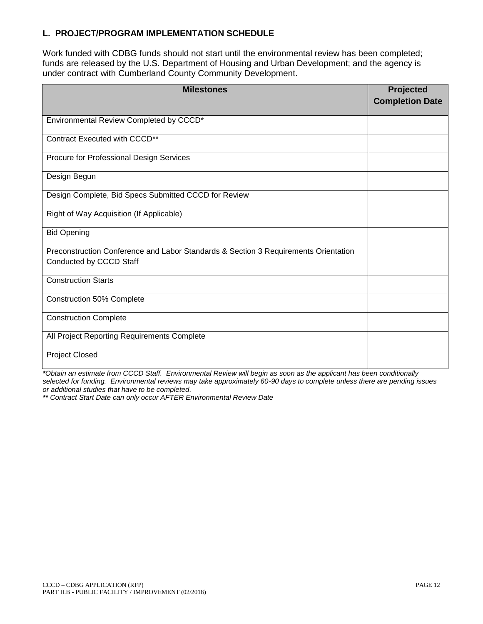### **L. PROJECT/PROGRAM IMPLEMENTATION SCHEDULE**

Work funded with CDBG funds should not start until the environmental review has been completed; funds are released by the U.S. Department of Housing and Urban Development; and the agency is under contract with Cumberland County Community Development.

| <b>Milestones</b>                                                                   | Projected<br><b>Completion Date</b> |
|-------------------------------------------------------------------------------------|-------------------------------------|
| Environmental Review Completed by CCCD*                                             |                                     |
| Contract Executed with CCCD**                                                       |                                     |
| Procure for Professional Design Services                                            |                                     |
|                                                                                     |                                     |
| Design Begun                                                                        |                                     |
| Design Complete, Bid Specs Submitted CCCD for Review                                |                                     |
| Right of Way Acquisition (If Applicable)                                            |                                     |
| <b>Bid Opening</b>                                                                  |                                     |
| Preconstruction Conference and Labor Standards & Section 3 Requirements Orientation |                                     |
| Conducted by CCCD Staff                                                             |                                     |
| <b>Construction Starts</b>                                                          |                                     |
| Construction 50% Complete                                                           |                                     |
| <b>Construction Complete</b>                                                        |                                     |
| All Project Reporting Requirements Complete                                         |                                     |
| <b>Project Closed</b>                                                               |                                     |

*\*Obtain an estimate from CCCD Staff. Environmental Review will begin as soon as the applicant has been conditionally selected for funding. Environmental reviews may take approximately 60-90 days to complete unless there are pending issues or additional studies that have to be completed.*

*\*\* Contract Start Date can only occur AFTER Environmental Review Date*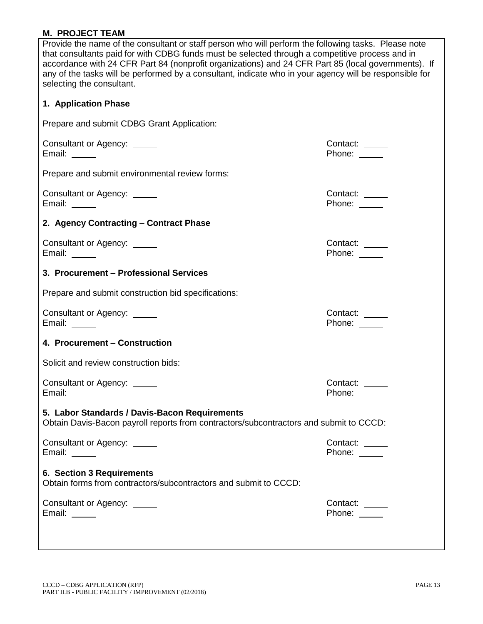## **M. PROJECT TEAM**

| Provide the name of the consultant or staff person who will perform the following tasks. Please note<br>that consultants paid for with CDBG funds must be selected through a competitive process and in<br>accordance with 24 CFR Part 84 (nonprofit organizations) and 24 CFR Part 85 (local governments). If<br>any of the tasks will be performed by a consultant, indicate who in your agency will be responsible for<br>selecting the consultant. |                                   |  |  |
|--------------------------------------------------------------------------------------------------------------------------------------------------------------------------------------------------------------------------------------------------------------------------------------------------------------------------------------------------------------------------------------------------------------------------------------------------------|-----------------------------------|--|--|
| 1. Application Phase                                                                                                                                                                                                                                                                                                                                                                                                                                   |                                   |  |  |
| Prepare and submit CDBG Grant Application:                                                                                                                                                                                                                                                                                                                                                                                                             |                                   |  |  |
| Consultant or Agency: _____<br>Email: $\_\_\_\_\_\_\_\_\_\_\_\$                                                                                                                                                                                                                                                                                                                                                                                        | Contact: _____<br>Phone: $\_\_$   |  |  |
| Prepare and submit environmental review forms:                                                                                                                                                                                                                                                                                                                                                                                                         |                                   |  |  |
| Consultant or Agency: _____<br>Email: $\frac{1}{\sqrt{1-\frac{1}{2}}\sqrt{1-\frac{1}{2}}\sqrt{1-\frac{1}{2}}\sqrt{1-\frac{1}{2}}$                                                                                                                                                                                                                                                                                                                      | Contact:<br>Phone: _____          |  |  |
| 2. Agency Contracting - Contract Phase                                                                                                                                                                                                                                                                                                                                                                                                                 |                                   |  |  |
| Consultant or Agency: _____<br>Email:                                                                                                                                                                                                                                                                                                                                                                                                                  | Contact: _____<br>Phone:          |  |  |
| 3. Procurement - Professional Services                                                                                                                                                                                                                                                                                                                                                                                                                 |                                   |  |  |
| Prepare and submit construction bid specifications:                                                                                                                                                                                                                                                                                                                                                                                                    |                                   |  |  |
| Consultant or Agency: _____<br>Email: _____                                                                                                                                                                                                                                                                                                                                                                                                            | Contact: _____<br>Phone: $\_\_$   |  |  |
| 4. Procurement - Construction                                                                                                                                                                                                                                                                                                                                                                                                                          |                                   |  |  |
| Solicit and review construction bids:                                                                                                                                                                                                                                                                                                                                                                                                                  |                                   |  |  |
| Consultant or Agency: ______<br>Email:<br>$\frac{1}{2}$                                                                                                                                                                                                                                                                                                                                                                                                | Contact:<br>Phone: $\_\_$         |  |  |
| 5. Labor Standards / Davis-Bacon Requirements<br>Obtain Davis-Bacon payroll reports from contractors/subcontractors and submit to CCCD:                                                                                                                                                                                                                                                                                                                |                                   |  |  |
| Consultant or Agency: _____<br>Email: $\_\_\_\_\_\_\_\_\_\_\_\$                                                                                                                                                                                                                                                                                                                                                                                        | Contact:<br>Phone: <u>_______</u> |  |  |
| <b>6. Section 3 Requirements</b><br>Obtain forms from contractors/subcontractors and submit to CCCD:                                                                                                                                                                                                                                                                                                                                                   |                                   |  |  |
| Consultant or Agency: _____<br>Email: $\_\_$                                                                                                                                                                                                                                                                                                                                                                                                           | Contact:<br>Phone:                |  |  |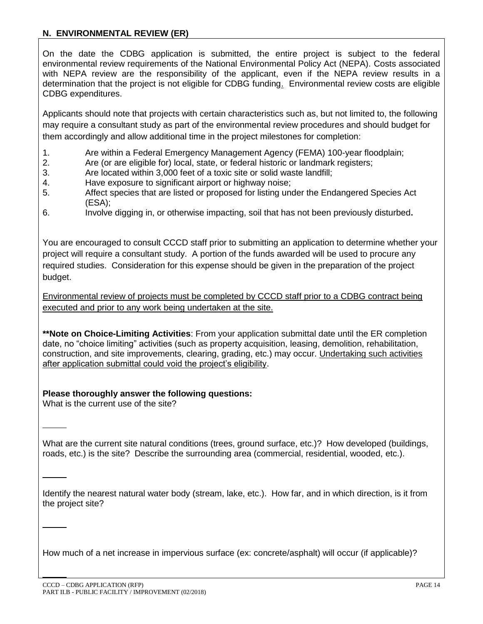## **N. ENVIRONMENTAL REVIEW (ER)**

On the date the CDBG application is submitted, the entire project is subject to the federal environmental review requirements of the National Environmental Policy Act (NEPA). Costs associated with NEPA review are the responsibility of the applicant, even if the NEPA review results in a determination that the project is not eligible for CDBG funding. Environmental review costs are eligible CDBG expenditures.

Applicants should note that projects with certain characteristics such as, but not limited to, the following may require a consultant study as part of the environmental review procedures and should budget for them accordingly and allow additional time in the project milestones for completion:

- 1. Are within a Federal Emergency Management Agency (FEMA) 100-year floodplain;
- 2. Are (or are eligible for) local, state, or federal historic or landmark registers;
- 3. Are located within 3,000 feet of a toxic site or solid waste landfill;
- 4. Have exposure to significant airport or highway noise;
- 5. Affect species that are listed or proposed for listing under the Endangered Species Act (ESA);
- 6. Involve digging in, or otherwise impacting, soil that has not been previously disturbed**.**

You are encouraged to consult CCCD staff prior to submitting an application to determine whether your project will require a consultant study. A portion of the funds awarded will be used to procure any required studies. Consideration for this expense should be given in the preparation of the project budget.

Environmental review of projects must be completed by CCCD staff prior to a CDBG contract being executed and prior to any work being undertaken at the site.

**\*\*Note on Choice-Limiting Activities**: From your application submittal date until the ER completion date, no "choice limiting" activities (such as property acquisition, leasing, demolition, rehabilitation, construction, and site improvements, clearing, grading, etc.) may occur. Undertaking such activities after application submittal could void the project's eligibility.

## **Please thoroughly answer the following questions:**

What is the current use of the site?

What are the current site natural conditions (trees, ground surface, etc.)? How developed (buildings, roads, etc.) is the site? Describe the surrounding area (commercial, residential, wooded, etc.).

Identify the nearest natural water body (stream, lake, etc.). How far, and in which direction, is it from the project site?

How much of a net increase in impervious surface (ex: concrete/asphalt) will occur (if applicable)?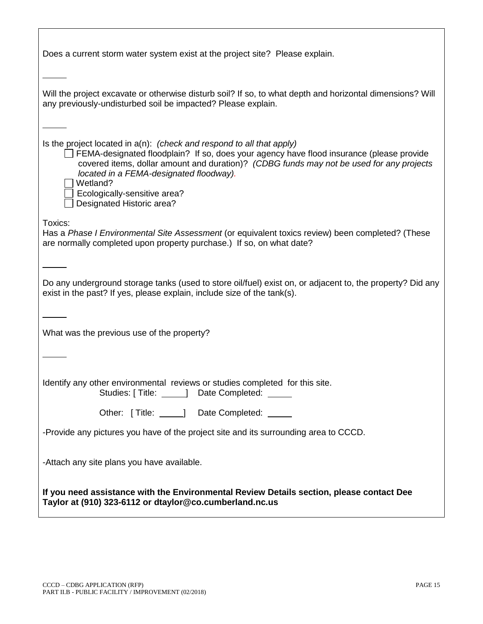| Does a current storm water system exist at the project site? Please explain.                                                                                                                                                                                                                                                                                                         |
|--------------------------------------------------------------------------------------------------------------------------------------------------------------------------------------------------------------------------------------------------------------------------------------------------------------------------------------------------------------------------------------|
| Will the project excavate or otherwise disturb soil? If so, to what depth and horizontal dimensions? Will<br>any previously-undisturbed soil be impacted? Please explain.                                                                                                                                                                                                            |
| Is the project located in $a(n)$ : (check and respond to all that apply)<br>FEMA-designated floodplain? If so, does your agency have flood insurance (please provide<br>covered items, dollar amount and duration)? (CDBG funds may not be used for any projects<br>located in a FEMA-designated floodway).<br>Wetland?<br>Ecologically-sensitive area?<br>Designated Historic area? |
| Toxics:<br>Has a Phase I Environmental Site Assessment (or equivalent toxics review) been completed? (These<br>are normally completed upon property purchase.) If so, on what date?                                                                                                                                                                                                  |
| Do any underground storage tanks (used to store oil/fuel) exist on, or adjacent to, the property? Did any<br>exist in the past? If yes, please explain, include size of the tank(s).                                                                                                                                                                                                 |
| What was the previous use of the property?                                                                                                                                                                                                                                                                                                                                           |
| Identify any other environmental reviews or studies completed for this site.<br>Studies: [ Title: _____] Date Completed: _____                                                                                                                                                                                                                                                       |
| Other: [Title: 1990] Date Completed: 2009                                                                                                                                                                                                                                                                                                                                            |
| -Provide any pictures you have of the project site and its surrounding area to CCCD.                                                                                                                                                                                                                                                                                                 |
| -Attach any site plans you have available.                                                                                                                                                                                                                                                                                                                                           |
| If you need assistance with the Environmental Review Details section, please contact Dee<br>Taylor at (910) 323-6112 or dtaylor@co.cumberland.nc.us                                                                                                                                                                                                                                  |